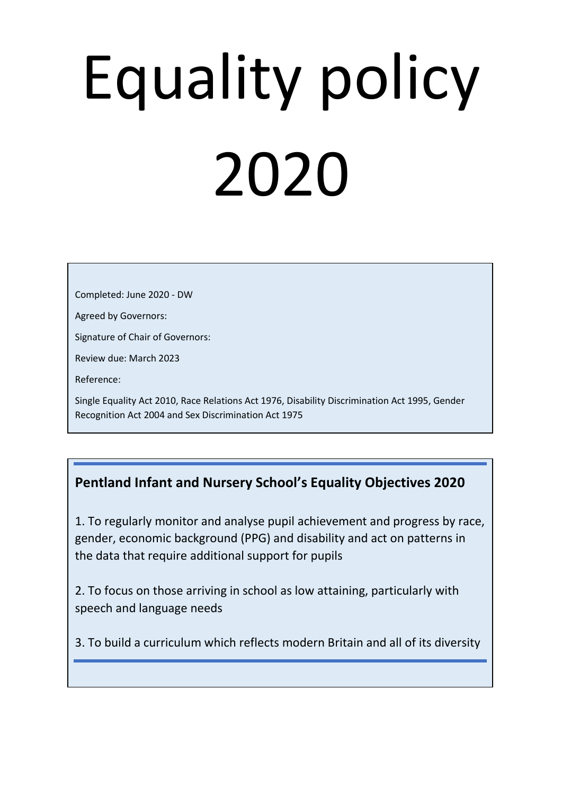# Equality policy 2020

Completed: June 2020 - DW

Agreed by Governors:

Signature of Chair of Governors:

Review due: March 2023

Reference:

Single Equality Act 2010, Race Relations Act 1976, Disability Discrimination Act 1995, Gender Recognition Act 2004 and Sex Discrimination Act 1975

## **Pentland Infant and Nursery School's Equality Objectives 2020**

1. To regularly monitor and analyse pupil achievement and progress by race, gender, economic background (PPG) and disability and act on patterns in the data that require additional support for pupils

2. To focus on those arriving in school as low attaining, particularly with speech and language needs

3. To build a curriculum which reflects modern Britain and all of its diversity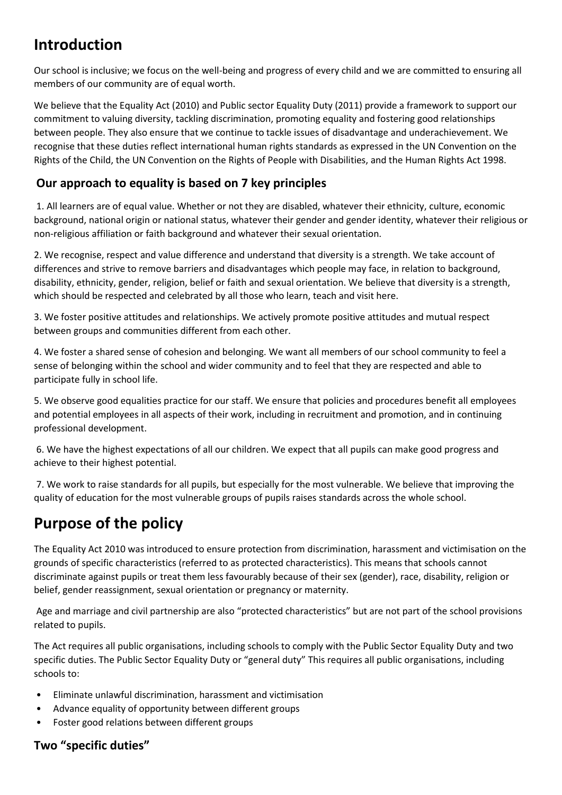# **Introduction**

Our school is inclusive; we focus on the well-being and progress of every child and we are committed to ensuring all members of our community are of equal worth.

We believe that the Equality Act (2010) and Public sector Equality Duty (2011) provide a framework to support our commitment to valuing diversity, tackling discrimination, promoting equality and fostering good relationships between people. They also ensure that we continue to tackle issues of disadvantage and underachievement. We recognise that these duties reflect international human rights standards as expressed in the UN Convention on the Rights of the Child, the UN Convention on the Rights of People with Disabilities, and the Human Rights Act 1998.

## **Our approach to equality is based on 7 key principles**

1. All learners are of equal value. Whether or not they are disabled, whatever their ethnicity, culture, economic background, national origin or national status, whatever their gender and gender identity, whatever their religious or non-religious affiliation or faith background and whatever their sexual orientation.

2. We recognise, respect and value difference and understand that diversity is a strength. We take account of differences and strive to remove barriers and disadvantages which people may face, in relation to background, disability, ethnicity, gender, religion, belief or faith and sexual orientation. We believe that diversity is a strength, which should be respected and celebrated by all those who learn, teach and visit here.

3. We foster positive attitudes and relationships. We actively promote positive attitudes and mutual respect between groups and communities different from each other.

4. We foster a shared sense of cohesion and belonging. We want all members of our school community to feel a sense of belonging within the school and wider community and to feel that they are respected and able to participate fully in school life.

5. We observe good equalities practice for our staff. We ensure that policies and procedures benefit all employees and potential employees in all aspects of their work, including in recruitment and promotion, and in continuing professional development.

6. We have the highest expectations of all our children. We expect that all pupils can make good progress and achieve to their highest potential.

7. We work to raise standards for all pupils, but especially for the most vulnerable. We believe that improving the quality of education for the most vulnerable groups of pupils raises standards across the whole school.

# **Purpose of the policy**

The Equality Act 2010 was introduced to ensure protection from discrimination, harassment and victimisation on the grounds of specific characteristics (referred to as protected characteristics). This means that schools cannot discriminate against pupils or treat them less favourably because of their sex (gender), race, disability, religion or belief, gender reassignment, sexual orientation or pregnancy or maternity.

Age and marriage and civil partnership are also "protected characteristics" but are not part of the school provisions related to pupils.

The Act requires all public organisations, including schools to comply with the Public Sector Equality Duty and two specific duties. The Public Sector Equality Duty or "general duty" This requires all public organisations, including schools to:

- Eliminate unlawful discrimination, harassment and victimisation
- Advance equality of opportunity between different groups
- Foster good relations between different groups

## **Two "specific duties"**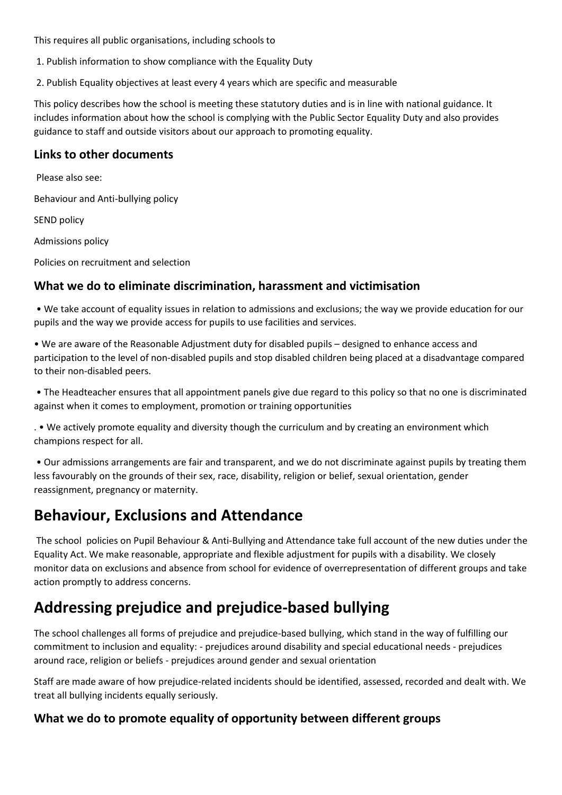This requires all public organisations, including schools to

1. Publish information to show compliance with the Equality Duty

2. Publish Equality objectives at least every 4 years which are specific and measurable

This policy describes how the school is meeting these statutory duties and is in line with national guidance. It includes information about how the school is complying with the Public Sector Equality Duty and also provides guidance to staff and outside visitors about our approach to promoting equality.

#### **Links to other documents**

Please also see:

Behaviour and Anti-bullying policy

SEND policy

Admissions policy

Policies on recruitment and selection

#### **What we do to eliminate discrimination, harassment and victimisation**

• We take account of equality issues in relation to admissions and exclusions; the way we provide education for our pupils and the way we provide access for pupils to use facilities and services.

• We are aware of the Reasonable Adjustment duty for disabled pupils – designed to enhance access and participation to the level of non-disabled pupils and stop disabled children being placed at a disadvantage compared to their non-disabled peers.

• The Headteacher ensures that all appointment panels give due regard to this policy so that no one is discriminated against when it comes to employment, promotion or training opportunities

. • We actively promote equality and diversity though the curriculum and by creating an environment which champions respect for all.

• Our admissions arrangements are fair and transparent, and we do not discriminate against pupils by treating them less favourably on the grounds of their sex, race, disability, religion or belief, sexual orientation, gender reassignment, pregnancy or maternity.

## **Behaviour, Exclusions and Attendance**

The school policies on Pupil Behaviour & Anti-Bullying and Attendance take full account of the new duties under the Equality Act. We make reasonable, appropriate and flexible adjustment for pupils with a disability. We closely monitor data on exclusions and absence from school for evidence of overrepresentation of different groups and take action promptly to address concerns.

# **Addressing prejudice and prejudice-based bullying**

The school challenges all forms of prejudice and prejudice-based bullying, which stand in the way of fulfilling our commitment to inclusion and equality: - prejudices around disability and special educational needs - prejudices around race, religion or beliefs - prejudices around gender and sexual orientation

Staff are made aware of how prejudice-related incidents should be identified, assessed, recorded and dealt with. We treat all bullying incidents equally seriously.

## **What we do to promote equality of opportunity between different groups**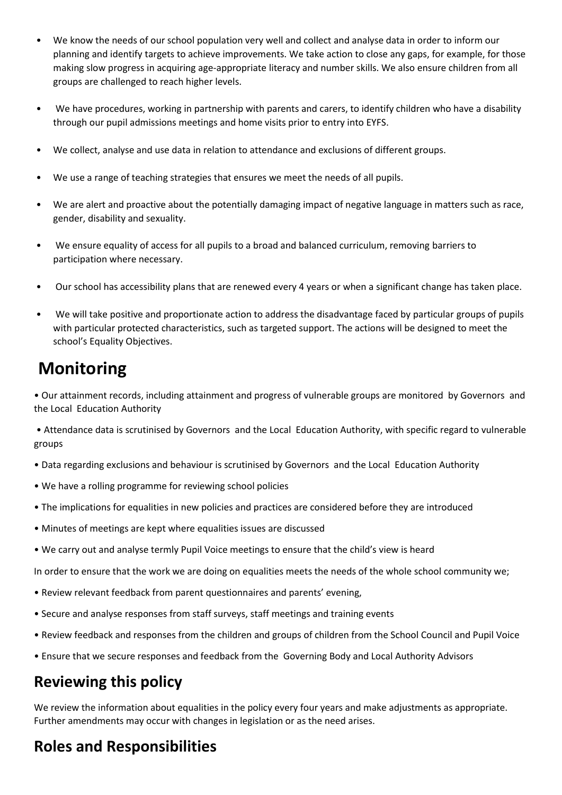- We know the needs of our school population very well and collect and analyse data in order to inform our planning and identify targets to achieve improvements. We take action to close any gaps, for example, for those making slow progress in acquiring age-appropriate literacy and number skills. We also ensure children from all groups are challenged to reach higher levels.
- We have procedures, working in partnership with parents and carers, to identify children who have a disability through our pupil admissions meetings and home visits prior to entry into EYFS.
- We collect, analyse and use data in relation to attendance and exclusions of different groups.
- We use a range of teaching strategies that ensures we meet the needs of all pupils.
- We are alert and proactive about the potentially damaging impact of negative language in matters such as race, gender, disability and sexuality.
- We ensure equality of access for all pupils to a broad and balanced curriculum, removing barriers to participation where necessary.
- Our school has accessibility plans that are renewed every 4 years or when a significant change has taken place.
- We will take positive and proportionate action to address the disadvantage faced by particular groups of pupils with particular protected characteristics, such as targeted support. The actions will be designed to meet the school's Equality Objectives.

# **Monitoring**

• Our attainment records, including attainment and progress of vulnerable groups are monitored by Governors and the Local Education Authority

• Attendance data is scrutinised by Governors and the Local Education Authority, with specific regard to vulnerable groups

- Data regarding exclusions and behaviour is scrutinised by Governors and the Local Education Authority
- We have a rolling programme for reviewing school policies
- The implications for equalities in new policies and practices are considered before they are introduced
- Minutes of meetings are kept where equalities issues are discussed
- We carry out and analyse termly Pupil Voice meetings to ensure that the child's view is heard

In order to ensure that the work we are doing on equalities meets the needs of the whole school community we;

- Review relevant feedback from parent questionnaires and parents' evening,
- Secure and analyse responses from staff surveys, staff meetings and training events
- Review feedback and responses from the children and groups of children from the School Council and Pupil Voice
- Ensure that we secure responses and feedback from the Governing Body and Local Authority Advisors

# **Reviewing this policy**

We review the information about equalities in the policy every four years and make adjustments as appropriate. Further amendments may occur with changes in legislation or as the need arises.

## **Roles and Responsibilities**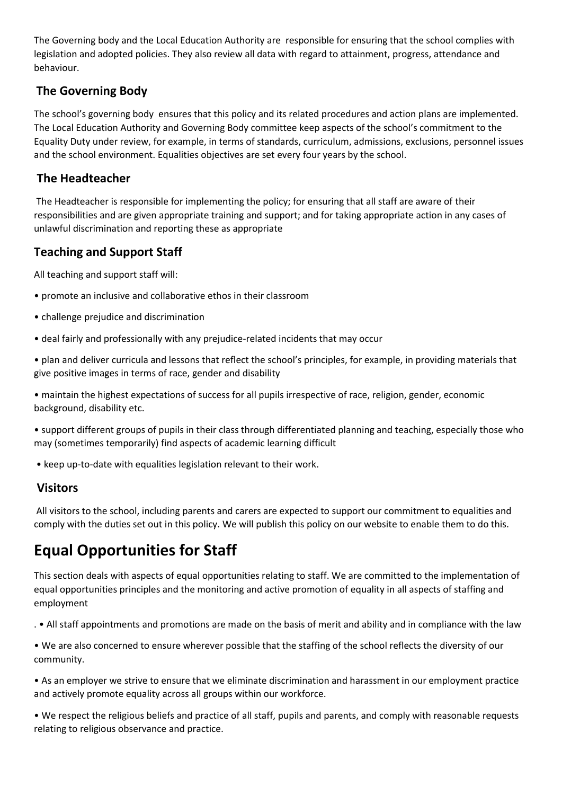The Governing body and the Local Education Authority are responsible for ensuring that the school complies with legislation and adopted policies. They also review all data with regard to attainment, progress, attendance and behaviour.

## **The Governing Body**

The school's governing body ensures that this policy and its related procedures and action plans are implemented. The Local Education Authority and Governing Body committee keep aspects of the school's commitment to the Equality Duty under review, for example, in terms of standards, curriculum, admissions, exclusions, personnel issues and the school environment. Equalities objectives are set every four years by the school.

#### **The Headteacher**

The Headteacher is responsible for implementing the policy; for ensuring that all staff are aware of their responsibilities and are given appropriate training and support; and for taking appropriate action in any cases of unlawful discrimination and reporting these as appropriate

## **Teaching and Support Staff**

All teaching and support staff will:

- promote an inclusive and collaborative ethos in their classroom
- challenge prejudice and discrimination
- deal fairly and professionally with any prejudice-related incidents that may occur

• plan and deliver curricula and lessons that reflect the school's principles, for example, in providing materials that give positive images in terms of race, gender and disability

• maintain the highest expectations of success for all pupils irrespective of race, religion, gender, economic background, disability etc.

• support different groups of pupils in their class through differentiated planning and teaching, especially those who may (sometimes temporarily) find aspects of academic learning difficult

• keep up-to-date with equalities legislation relevant to their work.

## **Visitors**

All visitors to the school, including parents and carers are expected to support our commitment to equalities and comply with the duties set out in this policy. We will publish this policy on our website to enable them to do this.

# **Equal Opportunities for Staff**

This section deals with aspects of equal opportunities relating to staff. We are committed to the implementation of equal opportunities principles and the monitoring and active promotion of equality in all aspects of staffing and employment

- . All staff appointments and promotions are made on the basis of merit and ability and in compliance with the law
- We are also concerned to ensure wherever possible that the staffing of the school reflects the diversity of our community.

• As an employer we strive to ensure that we eliminate discrimination and harassment in our employment practice and actively promote equality across all groups within our workforce.

• We respect the religious beliefs and practice of all staff, pupils and parents, and comply with reasonable requests relating to religious observance and practice.